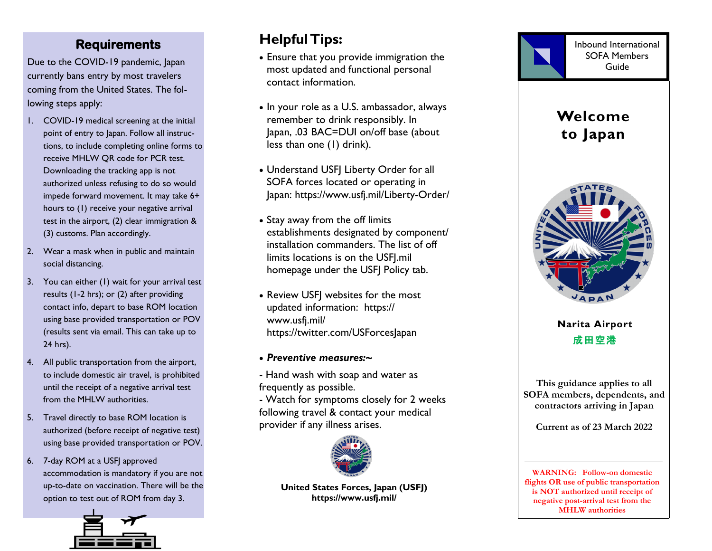### **Requirements**

Due to the COVID -19 pandemic, Japan currently bans entry by most travelers coming from the United States. The following steps apply:

- 1. COVID-19 medical screening at the initial point of entry to Japan. Follow all instructions, to include completing online forms to receive MHLW QR code for PCR test. Downloading the tracking app is not authorized unless refusing to do so would impede forward movement. It may take 6+ hours to (1) receive your negative arrival test in the airport, (2) clear immigration & (3) customs. Plan accordingly.
- 2. Wear a mask when in public and maintain social distancing.
- 3. You can either (1) wait for your arrival test results (1-2 hrs); or (2) after providing contact info, depart to base ROM location using base provided transportation or POV (results sent via email. This can take up to 24 hrs).
- 4. All public transportation from the airport, to include domestic air travel, is prohibited until the receipt of a negative arrival test from the MHLW authorities .
- 5. Travel directly to base ROM location is authorized (before receipt of negative test) using base provided transportation or POV.
- 6. 7-day ROM at a USFJ approved accommodation is mandatory if you are not up-to-date on vaccination. There will be the option to test out of ROM from day 3 .



## **Helpful Tips:**

- Ensure that you provide immigration the most updated and functional personal contact information.
- In your role as a U.S. ambassador, always remember to drink responsibly. In Japan, .03 BAC=DUI on/off base (about less than one (1) drink).
- Understand USFJ Liberty Order for all SOFA forces located or operating in Japan: https://www.usfj.mil/Liberty-Order/
- Stay away from the off limits establishments designated by component/ installation commanders. The list of off limits locations is on the USFJ.mil homepage under the USFJ Policy tab.
- Review USFJ websites for the most updated information: https:// www.usfj.mil/ https://twitter.com/USForcesJapan
- *Preventive measures: ~*

- Hand wash with soap and water as frequently as possible.

- Watch for symptoms closely for 2 weeks following travel & contact your medical provider if any illness arises.



**United States Forces , Japan (USFJ) https://www.usfj.mil/**